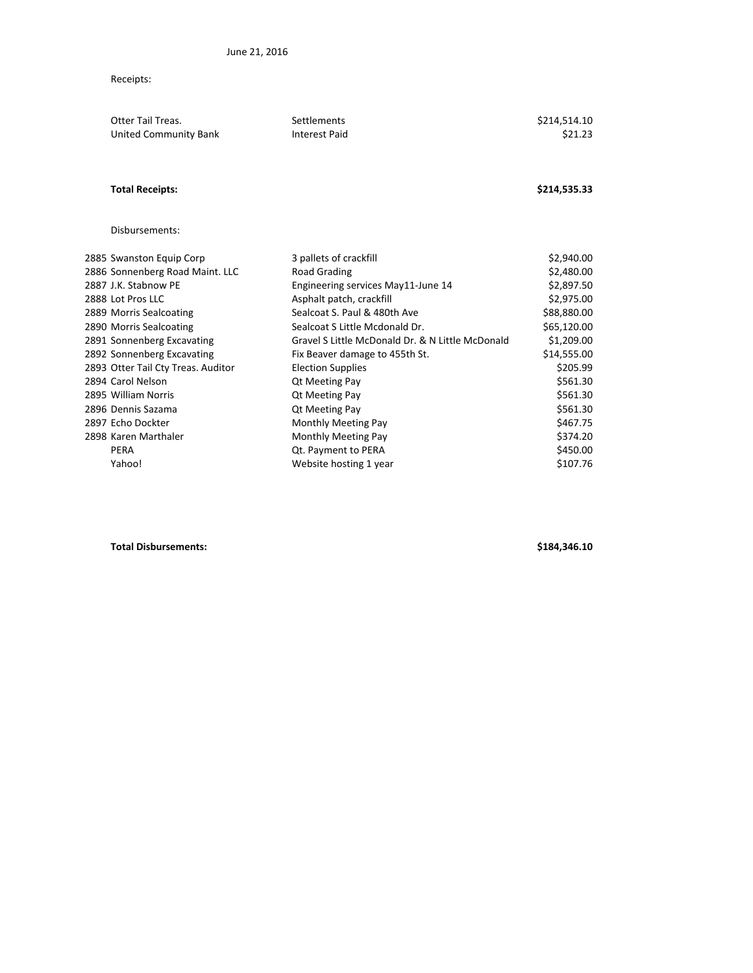Receipts:

| <b>Otter Tail Treas.</b><br>United Community Bank | Settlements<br><b>Interest Paid</b>              | \$214,514.10<br>\$21.23 |
|---------------------------------------------------|--------------------------------------------------|-------------------------|
|                                                   |                                                  |                         |
| <b>Total Receipts:</b>                            |                                                  | \$214,535.33            |
| Disbursements:                                    |                                                  |                         |
| 2885 Swanston Equip Corp                          | 3 pallets of crackfill                           | \$2,940.00              |
| 2886 Sonnenberg Road Maint. LLC                   | Road Grading                                     | \$2,480.00              |
| 2887 J.K. Stabnow PE                              | Engineering services May11-June 14               | \$2,897.50              |
| 2888 Lot Pros LLC                                 | Asphalt patch, crackfill                         | \$2,975.00              |
| 2889 Morris Sealcoating                           | Sealcoat S. Paul & 480th Ave                     | \$88,880.00             |
| 2890 Morris Sealcoating                           | Sealcoat S Little Mcdonald Dr.                   | \$65,120.00             |
| 2891 Sonnenberg Excavating                        | Gravel S Little McDonald Dr. & N Little McDonald | \$1,209.00              |
| 2892 Sonnenberg Excavating                        | Fix Beaver damage to 455th St.                   | \$14,555.00             |
| 2893 Otter Tail Cty Treas. Auditor                | <b>Election Supplies</b>                         | \$205.99                |
| 2894 Carol Nelson                                 | Qt Meeting Pay                                   | \$561.30                |
| 2895 William Norris                               | <b>Qt Meeting Pay</b>                            | \$561.30                |
| 2896 Dennis Sazama                                | Qt Meeting Pay                                   | \$561.30                |
| 2897 Echo Dockter                                 | Monthly Meeting Pay                              | \$467.75                |
| 2898 Karen Marthaler                              | Monthly Meeting Pay                              | \$374.20                |
| <b>PERA</b>                                       | Qt. Payment to PERA                              | \$450.00                |
| Yahoo!                                            | Website hosting 1 year                           | \$107.76                |

**Total Disbursements: \$184,346.10**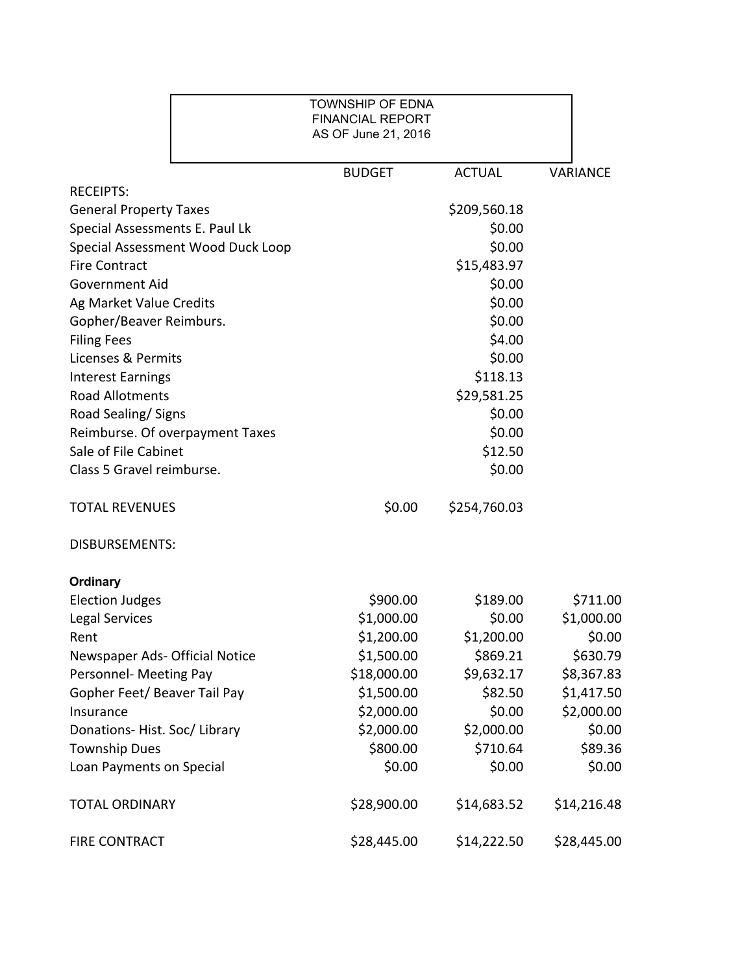|                                   | <b>TOWNSHIP OF EDNA</b><br><b>FINANCIAL REPORT</b><br>AS OF June 21, 2016 |               |                 |
|-----------------------------------|---------------------------------------------------------------------------|---------------|-----------------|
|                                   | <b>BUDGET</b>                                                             | <b>ACTUAL</b> | <b>VARIANCE</b> |
| <b>RECEIPTS:</b>                  |                                                                           |               |                 |
| <b>General Property Taxes</b>     |                                                                           | \$209,560.18  |                 |
| Special Assessments E. Paul Lk    |                                                                           | \$0.00        |                 |
| Special Assessment Wood Duck Loop |                                                                           | \$0.00        |                 |
| <b>Fire Contract</b>              |                                                                           | \$15,483.97   |                 |
| <b>Government Aid</b>             |                                                                           | \$0.00        |                 |
| Ag Market Value Credits           |                                                                           | \$0.00        |                 |
| Gopher/Beaver Reimburs.           |                                                                           | \$0.00        |                 |
| <b>Filing Fees</b>                |                                                                           | \$4.00        |                 |
| Licenses & Permits                |                                                                           | \$0.00        |                 |
| <b>Interest Earnings</b>          |                                                                           | \$118.13      |                 |
| <b>Road Allotments</b>            |                                                                           | \$29,581.25   |                 |
| Road Sealing/Signs                |                                                                           | \$0.00        |                 |
| Reimburse. Of overpayment Taxes   |                                                                           | \$0.00        |                 |
| Sale of File Cabinet              |                                                                           | \$12.50       |                 |
| Class 5 Gravel reimburse.         |                                                                           | \$0.00        |                 |
| <b>TOTAL REVENUES</b>             | \$0.00                                                                    | \$254,760.03  |                 |
| <b>DISBURSEMENTS:</b>             |                                                                           |               |                 |
| <b>Ordinary</b>                   |                                                                           |               |                 |
| <b>Election Judges</b>            | \$900.00                                                                  | \$189.00      | \$711.00        |
| Legal Services                    | \$1,000.00                                                                | \$0.00        | \$1,000.00      |
| Rent                              | \$1,200.00                                                                | \$1,200.00    | \$0.00          |
| Newspaper Ads- Official Notice    | \$1,500.00                                                                | \$869.21      | \$630.79        |
| Personnel- Meeting Pay            | \$18,000.00                                                               | \$9,632.17    | \$8,367.83      |
| Gopher Feet/ Beaver Tail Pay      | \$1,500.00                                                                | \$82.50       | \$1,417.50      |
| Insurance                         | \$2,000.00                                                                | \$0.00        | \$2,000.00      |
| Donations-Hist. Soc/Library       | \$2,000.00                                                                | \$2,000.00    | \$0.00          |
| <b>Township Dues</b>              | \$800.00                                                                  | \$710.64      | \$89.36         |
| Loan Payments on Special          | \$0.00                                                                    | \$0.00        | \$0.00          |
| <b>TOTAL ORDINARY</b>             | \$28,900.00                                                               | \$14,683.52   | \$14,216.48     |
| <b>FIRE CONTRACT</b>              | \$28,445.00                                                               | \$14,222.50   | \$28,445.00     |